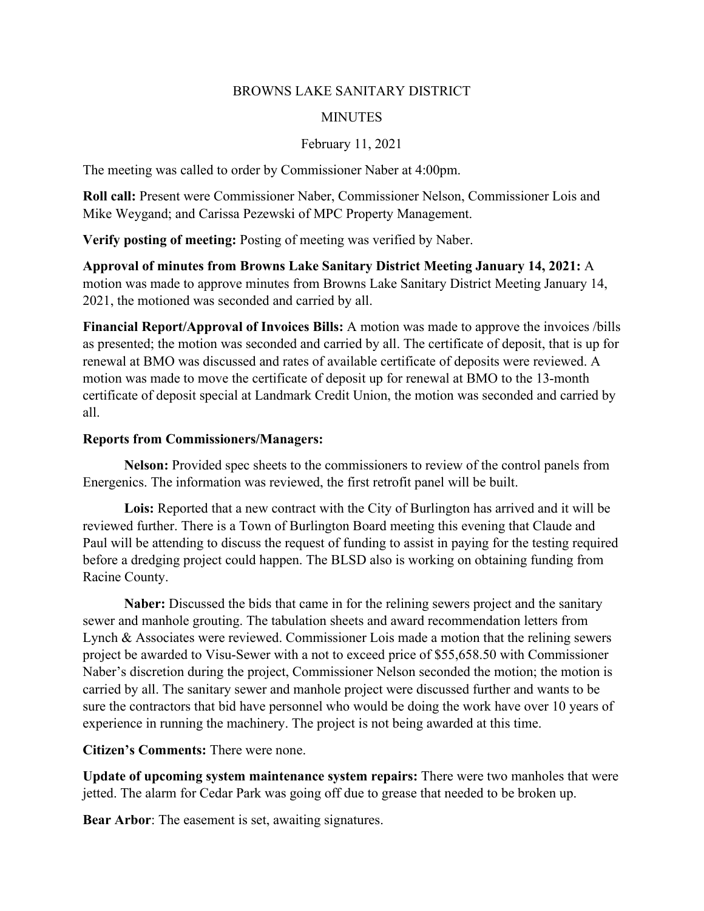#### BROWNS LAKE SANITARY DISTRICT

### **MINUTES**

## February 11, 2021

The meeting was called to order by Commissioner Naber at 4:00pm.

**Roll call:** Present were Commissioner Naber, Commissioner Nelson, Commissioner Lois and Mike Weygand; and Carissa Pezewski of MPC Property Management.

**Verify posting of meeting:** Posting of meeting was verified by Naber.

**Approval of minutes from Browns Lake Sanitary District Meeting January 14, 2021:** A motion was made to approve minutes from Browns Lake Sanitary District Meeting January 14, 2021, the motioned was seconded and carried by all.

**Financial Report/Approval of Invoices Bills:** A motion was made to approve the invoices /bills as presented; the motion was seconded and carried by all. The certificate of deposit, that is up for renewal at BMO was discussed and rates of available certificate of deposits were reviewed. A motion was made to move the certificate of deposit up for renewal at BMO to the 13-month certificate of deposit special at Landmark Credit Union, the motion was seconded and carried by all.

#### **Reports from Commissioners/Managers:**

**Nelson:** Provided spec sheets to the commissioners to review of the control panels from Energenics. The information was reviewed, the first retrofit panel will be built.

**Lois:** Reported that a new contract with the City of Burlington has arrived and it will be reviewed further. There is a Town of Burlington Board meeting this evening that Claude and Paul will be attending to discuss the request of funding to assist in paying for the testing required before a dredging project could happen. The BLSD also is working on obtaining funding from Racine County.

**Naber:** Discussed the bids that came in for the relining sewers project and the sanitary sewer and manhole grouting. The tabulation sheets and award recommendation letters from Lynch & Associates were reviewed. Commissioner Lois made a motion that the relining sewers project be awarded to Visu-Sewer with a not to exceed price of \$55,658.50 with Commissioner Naber's discretion during the project, Commissioner Nelson seconded the motion; the motion is carried by all. The sanitary sewer and manhole project were discussed further and wants to be sure the contractors that bid have personnel who would be doing the work have over 10 years of experience in running the machinery. The project is not being awarded at this time.

# **Citizen's Comments:** There were none.

**Update of upcoming system maintenance system repairs:** There were two manholes that were jetted. The alarm for Cedar Park was going off due to grease that needed to be broken up.

**Bear Arbor:** The easement is set, awaiting signatures.